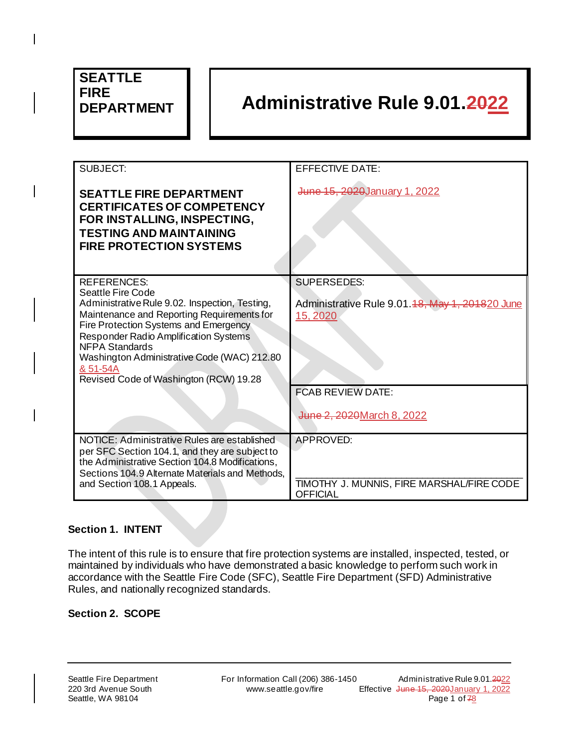# **SEATTLE FIRE**

 $\overline{\phantom{a}}$ 

# **DEPARTMENT Administrative Rule 9.01.2022**

| SUBJECT:                                                                                                                                                                                                                                                                                                                                                | <b>EFFECTIVE DATE:</b>                                                             |
|---------------------------------------------------------------------------------------------------------------------------------------------------------------------------------------------------------------------------------------------------------------------------------------------------------------------------------------------------------|------------------------------------------------------------------------------------|
| <b>SEATTLE FIRE DEPARTMENT</b><br><b>CERTIFICATES OF COMPETENCY</b><br>FOR INSTALLING, INSPECTING,<br><b>TESTING AND MAINTAINING</b><br><b>FIRE PROTECTION SYSTEMS</b>                                                                                                                                                                                  | June 15, 2020 January 1, 2022                                                      |
| <b>REFERENCES:</b><br>Seattle Fire Code<br>Administrative Rule 9.02. Inspection, Testing,<br>Maintenance and Reporting Requirements for<br>Fire Protection Systems and Emergency<br>Responder Radio Amplification Systems<br><b>NFPA Standards</b><br>Washington Administrative Code (WAC) 212.80<br>& 51-54A<br>Revised Code of Washington (RCW) 19.28 | <b>SUPERSEDES:</b><br>Administrative Rule 9.01. 48, May 1, 201820 June<br>15, 2020 |
|                                                                                                                                                                                                                                                                                                                                                         | <b>FCAB REVIEW DATE:</b><br>June 2, 2020 March 8, 2022                             |
| NOTICE: Administrative Rules are established<br>per SFC Section 104.1, and they are subject to<br>the Administrative Section 104.8 Modifications,<br>Sections 104.9 Alternate Materials and Methods,<br>and Section 108.1 Appeals.                                                                                                                      | <b>APPROVED:</b><br>TIMOTHY J. MUNNIS, FIRE MARSHAL/FIRE CODE<br><b>OFFICIAL</b>   |

## **Section 1. INTENT**

The intent of this rule is to ensure that fire protection systems are installed, inspected, tested, or maintained by individuals who have demonstrated a basic knowledge to perform such work in accordance with the Seattle Fire Code (SFC), Seattle Fire Department (SFD) Administrative Rules, and nationally recognized standards.

#### **Section 2. SCOPE**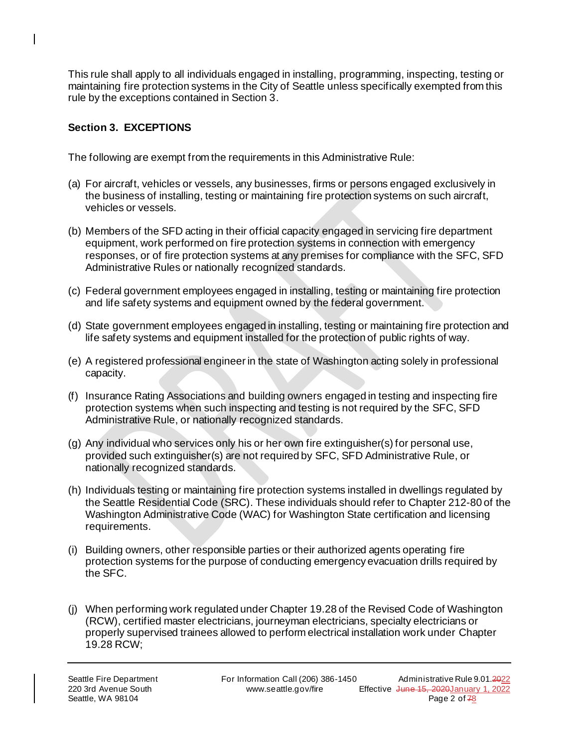This rule shall apply to all individuals engaged in installing, programming, inspecting, testing or maintaining fire protection systems in the City of Seattle unless specifically exempted from this rule by the exceptions contained in Section 3.

## **Section 3. EXCEPTIONS**

 $\overline{\phantom{a}}$ 

The following are exempt from the requirements in this Administrative Rule:

- (a) For aircraft, vehicles or vessels, any businesses, firms or persons engaged exclusively in the business of installing, testing or maintaining fire protection systems on such aircraft, vehicles or vessels.
- (b) Members of the SFD acting in their official capacity engaged in servicing fire department equipment, work performed on fire protection systems in connection with emergency responses, or of fire protection systems at any premises for compliance with the SFC, SFD Administrative Rules or nationally recognized standards.
- (c) Federal government employees engaged in installing, testing or maintaining fire protection and life safety systems and equipment owned by the federal government.
- (d) State government employees engaged in installing, testing or maintaining fire protection and life safety systems and equipment installed for the protection of public rights of way.
- (e) A registered professional engineer in the state of Washington acting solely in professional capacity.
- (f) Insurance Rating Associations and building owners engaged in testing and inspecting fire protection systems when such inspecting and testing is not required by the SFC, SFD Administrative Rule, or nationally recognized standards.
- (g) Any individual who services only his or her own fire extinguisher(s) for personal use, provided such extinguisher(s) are not required by SFC, SFD Administrative Rule, or nationally recognized standards.
- (h) Individuals testing or maintaining fire protection systems installed in dwellings regulated by the Seattle Residential Code (SRC). These individuals should refer to Chapter 212-80 of the Washington Administrative Code (WAC) for Washington State certification and licensing requirements.
- (i) Building owners, other responsible parties or their authorized agents operating fire protection systems for the purpose of conducting emergency evacuation drills required by the SFC.
- (j) When performing work regulated under Chapter 19.28 of the Revised Code of Washington (RCW), certified master electricians, journeyman electricians, specialty electricians or properly supervised trainees allowed to perform electrical installation work under Chapter 19.28 RCW;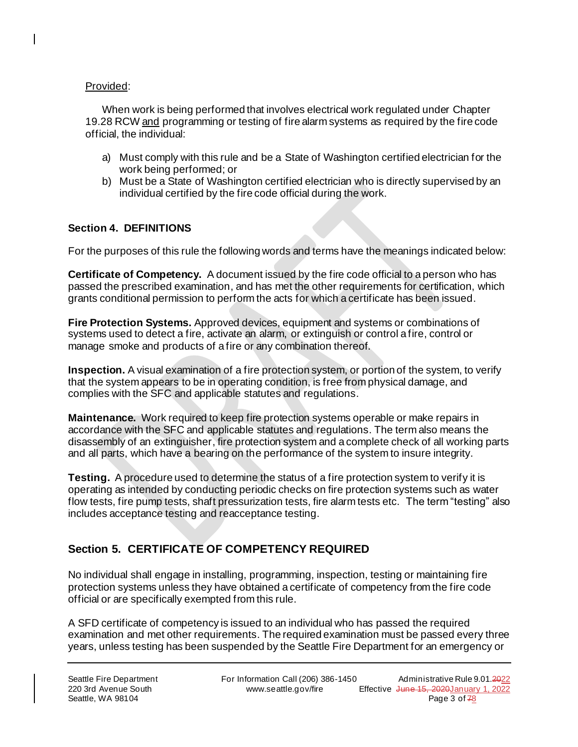#### Provided:

 $\overline{\phantom{a}}$ 

When work is being performed that involves electrical work regulated under Chapter 19.28 RCW and programming or testing of fire alarm systems as required by the fire code official, the individual:

- a) Must comply with this rule and be a State of Washington certified electrician for the work being performed; or
- b) Must be a State of Washington certified electrician who is directly supervised by an individual certified by the fire code official during the work.

#### **Section 4. DEFINITIONS**

For the purposes of this rule the following words and terms have the meanings indicated below:

**Certificate of Competency.** A document issued by the fire code official to a person who has passed the prescribed examination, and has met the other requirements for certification, which grants conditional permission to perform the acts for which a certificate has been issued.

**Fire Protection Systems.** Approved devices, equipment and systems or combinations of systems used to detect a fire, activate an alarm, or extinguish or control a fire, control or manage smoke and products of a fire or any combination thereof.

**Inspection.** A visual examination of a fire protection system, or portion of the system, to verify that the system appears to be in operating condition, is free from physical damage, and complies with the SFC and applicable statutes and regulations.

**Maintenance.** Work required to keep fire protection systems operable or make repairs in accordance with the SFC and applicable statutes and regulations. The term also means the disassembly of an extinguisher, fire protection system and a complete check of all working parts and all parts, which have a bearing on the performance of the system to insure integrity.

**Testing.** A procedure used to determine the status of a fire protection system to verify it is operating as intended by conducting periodic checks on fire protection systems such as water flow tests, fire pump tests, shaft pressurization tests, fire alarm tests etc. The term "testing" also includes acceptance testing and reacceptance testing.

## **Section 5. CERTIFICATE OF COMPETENCY REQUIRED**

No individual shall engage in installing, programming, inspection, testing or maintaining fire protection systems unless they have obtained a certificate of competency from the fire code official or are specifically exempted from this rule.

A SFD certificate of competency is issued to an individual who has passed the required examination and met other requirements. The required examination must be passed every three years, unless testing has been suspended by the Seattle Fire Department for an emergency or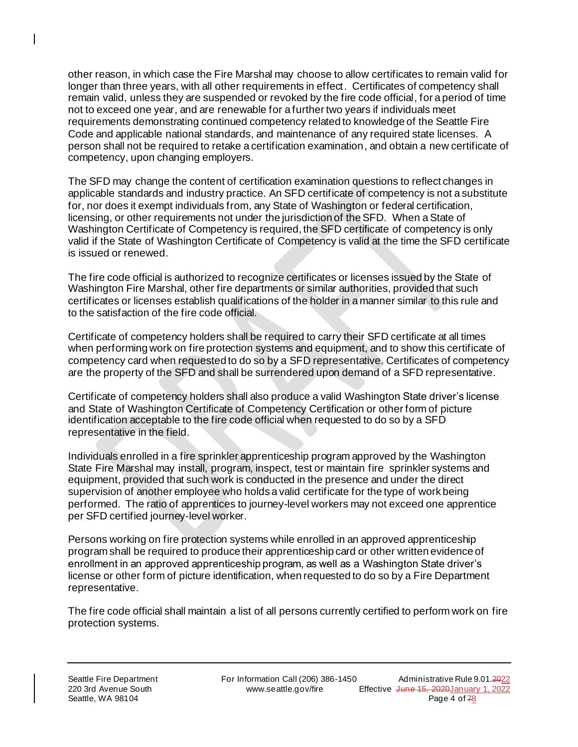other reason, in which case the Fire Marshal may choose to allow certificates to remain valid for longer than three years, with all other requirements in effect. Certificates of competency shall remain valid, unless they are suspended or revoked by the fire code official, for a period of time not to exceed one year, and are renewable for a further two years if individuals meet requirements demonstrating continued competency related to knowledge of the Seattle Fire Code and applicable national standards, and maintenance of any required state licenses. A person shall not be required to retake a certification examination, and obtain a new certificate of competency, upon changing employers.

The SFD may change the content of certification examination questions to reflect changes in applicable standards and industry practice. An SFD certificate of competency is not a substitute for, nor does it exempt individuals from, any State of Washington or federal certification, licensing, or other requirements not under the jurisdiction of the SFD. When a State of Washington Certificate of Competency is required, the SFD certificate of competency is only valid if the State of Washington Certificate of Competency is valid at the time the SFD certificate is issued or renewed.

The fire code official is authorized to recognize certificates or licenses issued by the State of Washington Fire Marshal, other fire departments or similar authorities, provided that such certificates or licenses establish qualifications of the holder in a manner similar to this rule and to the satisfaction of the fire code official.

Certificate of competency holders shall be required to carry their SFD certificate at all times when performing work on fire protection systems and equipment, and to show this certificate of competency card when requested to do so by a SFD representative. Certificates of competency are the property of the SFD and shall be surrendered upon demand of a SFD representative.

Certificate of competency holders shall also produce a valid Washington State driver's license and State of Washington Certificate of Competency Certification or other form of picture identification acceptable to the fire code official when requested to do so by a SFD representative in the field.

Individuals enrolled in a fire sprinkler apprenticeship program approved by the Washington State Fire Marshal may install, program, inspect, test or maintain fire sprinkler systems and equipment, provided that such work is conducted in the presence and under the direct supervision of another employee who holds a valid certificate for the type of work being performed. The ratio of apprentices to journey-level workers may not exceed one apprentice per SFD certified journey-level worker.

Persons working on fire protection systems while enrolled in an approved apprenticeship program shall be required to produce their apprenticeship card or other written evidence of enrollment in an approved apprenticeship program, as well as a Washington State driver's license or other form of picture identification, when requested to do so by a Fire Department representative.

The fire code official shall maintain a list of all persons currently certified to perform work on fire protection systems.

 $\overline{\phantom{a}}$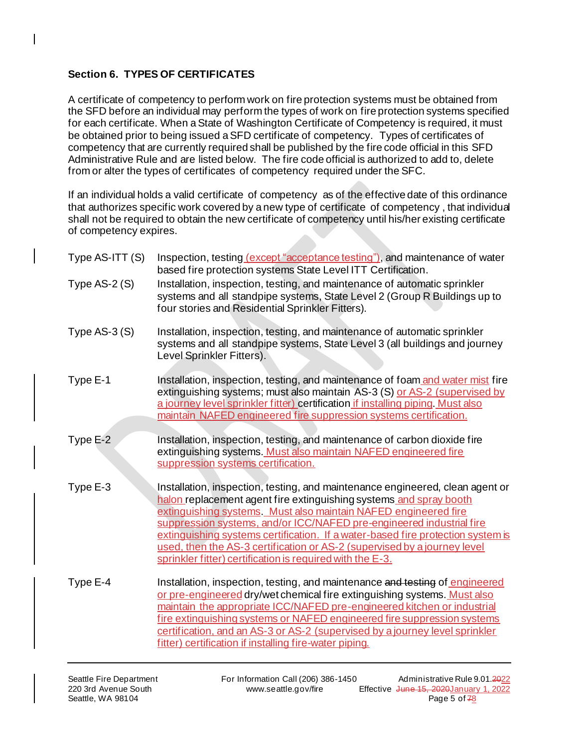## **Section 6. TYPES OF CERTIFICATES**

A certificate of competency to perform work on fire protection systems must be obtained from the SFD before an individual may perform the types of work on fire protection systems specified for each certificate. When a State of Washington Certificate of Competency is required, it must be obtained prior to being issued a SFD certificate of competency. Types of certificates of competency that are currently required shall be published by the fire code official in this SFD Administrative Rule and are listed below. The fire code official is authorized to add to, delete from or alter the types of certificates of competency required under the SFC.

If an individual holds a valid certificate of competency as of the effective date of this ordinance that authorizes specific work covered by a new type of certificate of competency , that individual shall not be required to obtain the new certificate of competency until his/her existing certificate of competency expires.

| Type AS-ITT (S) | Inspection, testing (except "acceptance testing"), and maintenance of water<br>based fire protection systems State Level ITT Certification.                                                                                                                                                                                                                                                                                                                                                                                |
|-----------------|----------------------------------------------------------------------------------------------------------------------------------------------------------------------------------------------------------------------------------------------------------------------------------------------------------------------------------------------------------------------------------------------------------------------------------------------------------------------------------------------------------------------------|
| Type $AS-2(S)$  | Installation, inspection, testing, and maintenance of automatic sprinkler<br>systems and all standpipe systems, State Level 2 (Group R Buildings up to<br>four stories and Residential Sprinkler Fitters).                                                                                                                                                                                                                                                                                                                 |
| Type $AS-3(S)$  | Installation, inspection, testing, and maintenance of automatic sprinkler<br>systems and all standpipe systems, State Level 3 (all buildings and journey<br>Level Sprinkler Fitters).                                                                                                                                                                                                                                                                                                                                      |
| Type E-1        | Installation, inspection, testing, and maintenance of foam and water mist fire<br>extinguishing systems; must also maintain AS-3 (S) or AS-2 (supervised by<br>a journey level sprinkler fitter) certification if installing piping. Must also<br>maintain NAFED engineered fire suppression systems certification.                                                                                                                                                                                                        |
| Type E-2        | Installation, inspection, testing, and maintenance of carbon dioxide fire<br>extinguishing systems. Must also maintain NAFED engineered fire<br>suppression systems certification.                                                                                                                                                                                                                                                                                                                                         |
| Type E-3        | Installation, inspection, testing, and maintenance engineered, clean agent or<br>halon replacement agent fire extinguishing systems and spray booth<br>extinguishing systems. Must also maintain NAFED engineered fire<br>suppression systems, and/or ICC/NAFED pre-engineered industrial fire<br>extinguishing systems certification. If a water-based fire protection system is<br>used, then the AS-3 certification or AS-2 (supervised by a journey level<br>sprinkler fitter) certification is required with the E-3. |
| Type E-4        | Installation, inspection, testing, and maintenance and testing of engineered<br>or pre-engineered dry/wet chemical fire extinguishing systems. Must also<br>maintain the appropriate ICC/NAFED pre-engineered kitchen or industrial<br>fire extinguishing systems or NAFED engineered fire suppression systems<br>certification, and an AS-3 or AS-2 (supervised by a journey level sprinkler<br>fitter) certification if installing fire-water piping.                                                                    |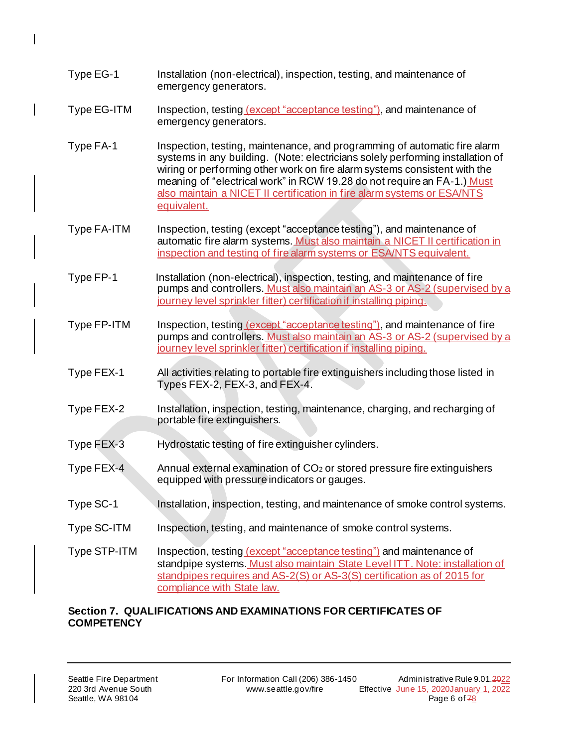- Type EG-1 Installation (non-electrical), inspection, testing, and maintenance of emergency generators.
- Type EG-ITM Inspection, testing (except "acceptance testing"), and maintenance of emergency generators.
- Type FA-1 Inspection, testing, maintenance, and programming of automatic fire alarm systems in any building. (Note: electricians solely performing installation of wiring or performing other work on fire alarm systems consistent with the meaning of "electrical work" in RCW 19.28 do not require an FA-1.) Must also maintain a NICET II certification in fire alarm systems or ESA/NTS equivalent.
- Type FA-ITM Inspection, testing (except "acceptance testing"), and maintenance of automatic fire alarm systems. Must also maintain a NICET II certification in inspection and testing of fire alarm systems or ESA/NTS equivalent.
- Type FP-1 Installation (non-electrical), inspection, testing, and maintenance of fire pumps and controllers. Must also maintain an AS-3 or AS-2 (supervised by a journey level sprinkler fitter) certification if installing piping.
- Type FP-ITM Inspection, testing (except "acceptance testing"), and maintenance of fire pumps and controllers. Must also maintain an AS-3 or AS-2 (supervised by a journey level sprinkler fitter) certification if installing piping.
- Type FEX-1 All activities relating to portable fire extinguishers including those listed in Types FEX-2, FEX-3, and FEX-4.
- Type FEX-2 Installation, inspection, testing, maintenance, charging, and recharging of portable fire extinguishers.
- Type FEX-3 Hydrostatic testing of fire extinguisher cylinders.
- Type FEX-4 Annual external examination of CO<sup>2</sup> or stored pressure fire extinguishers equipped with pressure indicators or gauges.
- Type SC-1 Installation, inspection, testing, and maintenance of smoke control systems.
- Type SC-ITM Inspection, testing, and maintenance of smoke control systems.
- Type STP-ITM Inspection, testing (except "acceptance testing") and maintenance of standpipe systems. Must also maintain State Level ITT. Note: installation of standpipes requires and AS-2(S) or AS-3(S) certification as of 2015 for compliance with State law.

### **Section 7. QUALIFICATIONS AND EXAMINATIONS FOR CERTIFICATES OF COMPETENCY**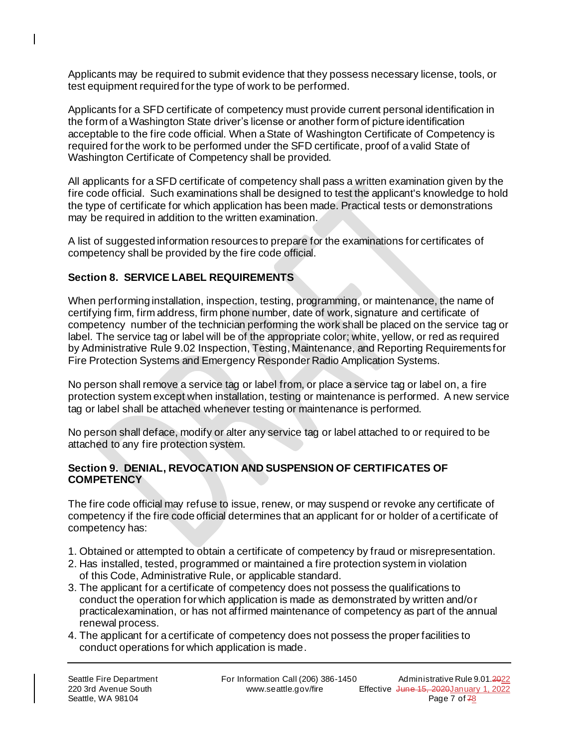Applicants may be required to submit evidence that they possess necessary license, tools, or test equipment required for the type of work to be performed.

Applicants for a SFD certificate of competency must provide current personal identification in the form of a Washington State driver's license or another form of picture identification acceptable to the fire code official. When a State of Washington Certificate of Competency is required for the work to be performed under the SFD certificate, proof of a valid State of Washington Certificate of Competency shall be provided.

All applicants for a SFD certificate of competency shall pass a written examination given by the fire code official. Such examinations shall be designed to test the applicant's knowledge to hold the type of certificate for which application has been made. Practical tests or demonstrations may be required in addition to the written examination.

A list of suggested information resources to prepare for the examinations for certificates of competency shall be provided by the fire code official.

### **Section 8. SERVICE LABEL REQUIREMENTS**

 $\overline{\phantom{a}}$ 

When performing installation, inspection, testing, programming, or maintenance, the name of certifying firm, firm address, firm phone number, date of work, signature and certificate of competency number of the technician performing the work shall be placed on the service tag or label. The service tag or label will be of the appropriate color; white, yellow, or red as required by Administrative Rule 9.02 Inspection, Testing, Maintenance, and Reporting Requirements for Fire Protection Systems and Emergency Responder Radio Amplication Systems.

No person shall remove a service tag or label from, or place a service tag or label on, a fire protection system except when installation, testing or maintenance is performed. A new service tag or label shall be attached whenever testing or maintenance is performed.

No person shall deface, modify or alter any service tag or label attached to or required to be attached to any fire protection system.

#### **Section 9. DENIAL, REVOCATION AND SUSPENSION OF CERTIFICATES OF COMPETENCY**

The fire code official may refuse to issue, renew, or may suspend or revoke any certificate of competency if the fire code official determines that an applicant for or holder of a certificate of competency has:

- 1. Obtained or attempted to obtain a certificate of competency by fraud or misrepresentation.
- 2. Has installed, tested, programmed or maintained a fire protection system in violation of this Code, Administrative Rule, or applicable standard.
- 3. The applicant for a certificate of competency does not possess the qualifications to conduct the operation for which application is made as demonstrated by written and/or practicalexamination, or has not affirmed maintenance of competency as part of the annual renewal process.
- 4. The applicant for a certificate of competency does not possess the proper facilities to conduct operations for which application is made.